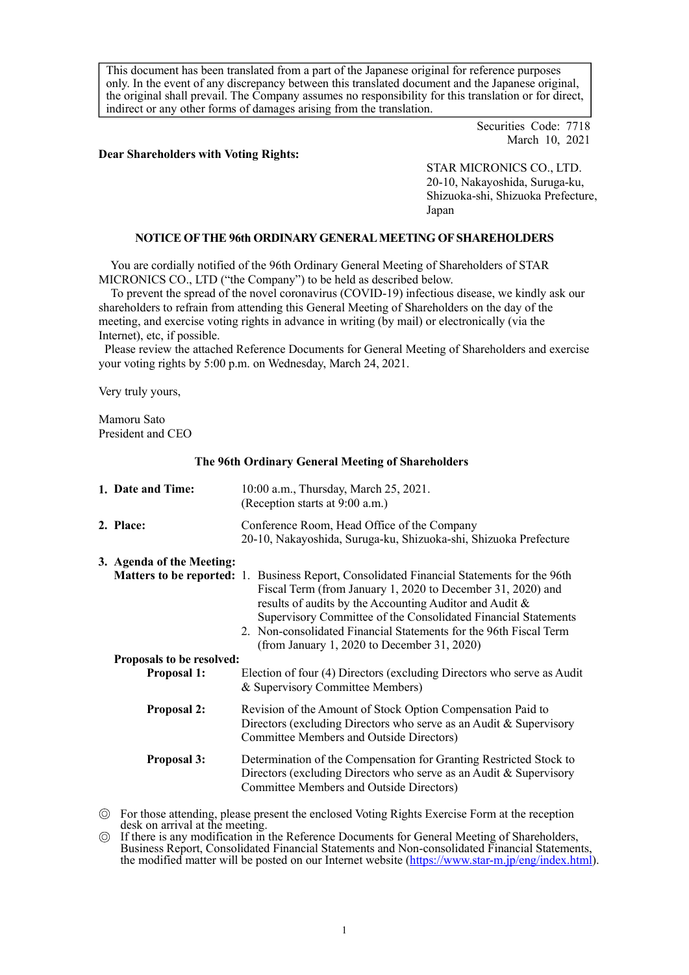This document has been translated from a part of the Japanese original for reference purposes only. In the event of any discrepancy between this translated document and the Japanese original, the original shall prevail. The Company assumes no responsibility for this translation or for direct, indirect or any other forms of damages arising from the translation.

> Securities Code: 7718 March 10, 2021

#### Dear Shareholders with Voting Rights:

STAR MICRONICS CO., LTD. 20-10, Nakayoshida, Suruga-ku, Shizuoka-shi, Shizuoka Prefecture, Japan

## NOTICE OF THE 96th ORDINARY GENERAL MEETING OF SHAREHOLDERS

You are cordially notified of the 96th Ordinary General Meeting of Shareholders of STAR MICRONICS CO., LTD ("the Company") to be held as described below.

|                | Internet), etc, if possible.                    | To prevent the spread of the novel coronavirus (COVID-19) infectious disease, we kindly ask our<br>shareholders to refrain from attending this General Meeting of Shareholders on the day of the<br>meeting, and exercise voting rights in advance in writing (by mail) or electronically (via the                                                                                                                     |
|----------------|-------------------------------------------------|------------------------------------------------------------------------------------------------------------------------------------------------------------------------------------------------------------------------------------------------------------------------------------------------------------------------------------------------------------------------------------------------------------------------|
|                |                                                 | Please review the attached Reference Documents for General Meeting of Shareholders and exercise<br>your voting rights by 5:00 p.m. on Wednesday, March 24, 2021.                                                                                                                                                                                                                                                       |
|                | Very truly yours,                               |                                                                                                                                                                                                                                                                                                                                                                                                                        |
|                | Mamoru Sato<br>President and CEO                |                                                                                                                                                                                                                                                                                                                                                                                                                        |
|                |                                                 | The 96th Ordinary General Meeting of Shareholders                                                                                                                                                                                                                                                                                                                                                                      |
|                | 1. Date and Time:                               | 10:00 a.m., Thursday, March 25, 2021.<br>(Reception starts at 9:00 a.m.)                                                                                                                                                                                                                                                                                                                                               |
|                | 2. Place:                                       | Conference Room, Head Office of the Company<br>20-10, Nakayoshida, Suruga-ku, Shizuoka-shi, Shizuoka Prefecture                                                                                                                                                                                                                                                                                                        |
|                | 3. Agenda of the Meeting:                       | <b>Matters to be reported:</b> 1. Business Report, Consolidated Financial Statements for the 96th<br>Fiscal Term (from January 1, 2020 to December 31, 2020) and<br>results of audits by the Accounting Auditor and Audit &<br>Supervisory Committee of the Consolidated Financial Statements<br>2. Non-consolidated Financial Statements for the 96th Fiscal Term<br>(from January $1, 2020$ to December $31, 2020$ ) |
|                | Proposals to be resolved:<br><b>Proposal 1:</b> | Election of four (4) Directors (excluding Directors who serve as Audit<br>& Supervisory Committee Members)                                                                                                                                                                                                                                                                                                             |
|                | <b>Proposal 2:</b>                              | Revision of the Amount of Stock Option Compensation Paid to<br>Directors (excluding Directors who serve as an Audit & Supervisory<br><b>Committee Members and Outside Directors)</b>                                                                                                                                                                                                                                   |
|                | Proposal 3:                                     | Determination of the Compensation for Granting Restricted Stock to<br>Directors (excluding Directors who serve as an Audit & Supervisory<br><b>Committee Members and Outside Directors)</b>                                                                                                                                                                                                                            |
| $\circledcirc$ | desk on arrival at the meeting.                 | For those attending, please present the enclosed Voting Rights Exercise Form at the reception<br>If there is any modification in the Reference Documents for General Meeting of Shareholders,<br>Business Report, Consolidated Financial Statements and Non-consolidated Financial Statements,<br>the modified matter will be posted on our Internet website (https://www.star-m.jp/eng/index.html).                   |

If there is any modification in the Reference Documents for General Meeting of Shareholders, Business Report, Consolidated Financial Statements and Non-consolidated Financial Statements, the modified matter will be posted on our Internet website (https://www.star-m.jp/eng/index.html).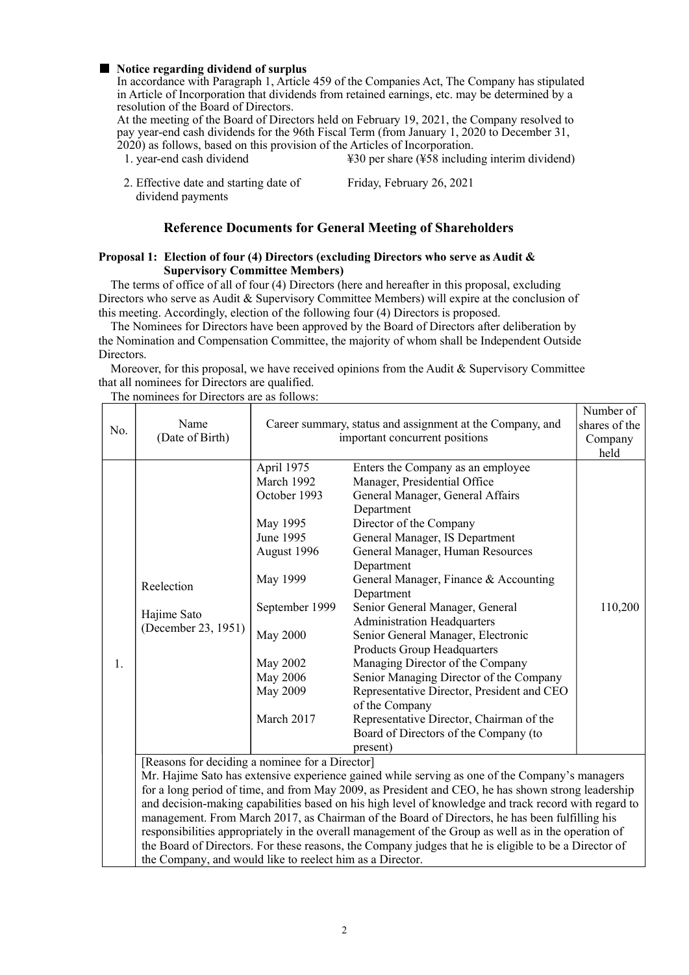#### Notice regarding dividend of surplus

In accordance with Paragraph 1, Article 459 of the Companies Act, The Company has stipulated in Article of Incorporation that dividends from retained earnings, etc. may be determined by a resolution of the Board of Directors. Figure 1. All the materials of surplus<br>
1. Arcicle of Incorporation has dividends from retained carnings, etc. may be determined by a<br>
1. Article of Incorporation that dividends from etained carnings, etc. may be determin the Companies Act, The Company has stipulated<br>retained earnings, etc. may be determined by a<br>n February 19, 2021, the Company resolved to<br>Term (from January 1, 2020 to December 31,<br>Articles of Incorporation.<br>¥30 per share

At the meeting of the Board of Directors held on February 19, 2021, the Company resolved to pay year-end cash dividends for the 96th Fiscal Term (from January 1, 2020 to December 31, 2020) as follows, based on this provision of the Articles of Incorporation.

- 
- 2. Effective date and starting date of Friday, February 26, 2021 dividend payments

## Reference Documents for General Meeting of Shareholders

#### Proposal 1: Election of four (4) Directors (excluding Directors who serve as Audit & Supervisory Committee Members)

|            |                                                                                                       |                                                                                                       | The terms of office of all of four (4) Directors (here and hereafter in this proposal, excluding |           |  |  |  |
|------------|-------------------------------------------------------------------------------------------------------|-------------------------------------------------------------------------------------------------------|--------------------------------------------------------------------------------------------------|-----------|--|--|--|
|            |                                                                                                       |                                                                                                       | Directors who serve as Audit & Supervisory Committee Members) will expire at the conclusion of   |           |  |  |  |
|            |                                                                                                       |                                                                                                       | his meeting. Accordingly, election of the following four (4) Directors is proposed.              |           |  |  |  |
|            |                                                                                                       |                                                                                                       | The Nominees for Directors have been approved by the Board of Directors after deliberation by    |           |  |  |  |
|            |                                                                                                       |                                                                                                       | he Nomination and Compensation Committee, the majority of whom shall be Independent Outside      |           |  |  |  |
| Directors. |                                                                                                       |                                                                                                       |                                                                                                  |           |  |  |  |
|            |                                                                                                       |                                                                                                       | Moreover, for this proposal, we have received opinions from the Audit & Supervisory Committee    |           |  |  |  |
|            | hat all nominees for Directors are qualified.                                                         |                                                                                                       |                                                                                                  |           |  |  |  |
|            | The nominees for Directors are as follows:                                                            |                                                                                                       |                                                                                                  |           |  |  |  |
|            |                                                                                                       |                                                                                                       |                                                                                                  | Number of |  |  |  |
| No.        | Name                                                                                                  | Career summary, status and assignment at the Company, and                                             | shares of the                                                                                    |           |  |  |  |
|            | (Date of Birth)                                                                                       | important concurrent positions                                                                        | Company                                                                                          |           |  |  |  |
|            |                                                                                                       |                                                                                                       |                                                                                                  | held      |  |  |  |
|            |                                                                                                       | April 1975                                                                                            | Enters the Company as an employee                                                                |           |  |  |  |
|            |                                                                                                       | March 1992                                                                                            | Manager, Presidential Office                                                                     |           |  |  |  |
|            | Reelection<br>Hajime Sato<br>(December 23, 1951)                                                      | October 1993                                                                                          | General Manager, General Affairs                                                                 |           |  |  |  |
|            |                                                                                                       |                                                                                                       | Department                                                                                       |           |  |  |  |
|            |                                                                                                       | May 1995                                                                                              | Director of the Company                                                                          |           |  |  |  |
|            |                                                                                                       | June 1995                                                                                             | General Manager, IS Department                                                                   |           |  |  |  |
|            |                                                                                                       | August 1996                                                                                           | General Manager, Human Resources                                                                 |           |  |  |  |
|            |                                                                                                       |                                                                                                       | Department                                                                                       |           |  |  |  |
|            |                                                                                                       | May 1999                                                                                              | General Manager, Finance & Accounting                                                            |           |  |  |  |
|            |                                                                                                       |                                                                                                       | Department                                                                                       |           |  |  |  |
|            |                                                                                                       | September 1999                                                                                        | Senior General Manager, General                                                                  | 110,200   |  |  |  |
|            |                                                                                                       |                                                                                                       | <b>Administration Headquarters</b>                                                               |           |  |  |  |
|            |                                                                                                       | <b>May 2000</b>                                                                                       | Senior General Manager, Electronic                                                               |           |  |  |  |
|            |                                                                                                       |                                                                                                       | <b>Products Group Headquarters</b>                                                               |           |  |  |  |
| 1.         |                                                                                                       | May 2002                                                                                              | Managing Director of the Company                                                                 |           |  |  |  |
|            |                                                                                                       | May 2006                                                                                              | Senior Managing Director of the Company                                                          |           |  |  |  |
|            |                                                                                                       | <b>May 2009</b>                                                                                       | Representative Director, President and CEO                                                       |           |  |  |  |
|            |                                                                                                       |                                                                                                       | of the Company                                                                                   |           |  |  |  |
|            |                                                                                                       | March 2017                                                                                            | Representative Director, Chairman of the                                                         |           |  |  |  |
|            |                                                                                                       |                                                                                                       | Board of Directors of the Company (to                                                            |           |  |  |  |
|            |                                                                                                       |                                                                                                       | present)                                                                                         |           |  |  |  |
|            | [Reasons for deciding a nominee for a Director]                                                       |                                                                                                       |                                                                                                  |           |  |  |  |
|            | Mr. Hajime Sato has extensive experience gained while serving as one of the Company's managers        |                                                                                                       |                                                                                                  |           |  |  |  |
|            | for a long period of time, and from May 2009, as President and CEO, he has shown strong leadership    |                                                                                                       |                                                                                                  |           |  |  |  |
|            | and decision-making capabilities based on his high level of knowledge and track record with regard to |                                                                                                       |                                                                                                  |           |  |  |  |
|            | management. From March 2017, as Chairman of the Board of Directors, he has been fulfilling his        |                                                                                                       |                                                                                                  |           |  |  |  |
|            |                                                                                                       | responsibilities appropriately in the overall management of the Group as well as in the operation of  |                                                                                                  |           |  |  |  |
|            |                                                                                                       | the Board of Directors. For these reasons, the Company judges that he is eligible to be a Director of |                                                                                                  |           |  |  |  |
|            |                                                                                                       | the Company, and would like to reelect him as a Director.                                             |                                                                                                  |           |  |  |  |
|            |                                                                                                       |                                                                                                       |                                                                                                  |           |  |  |  |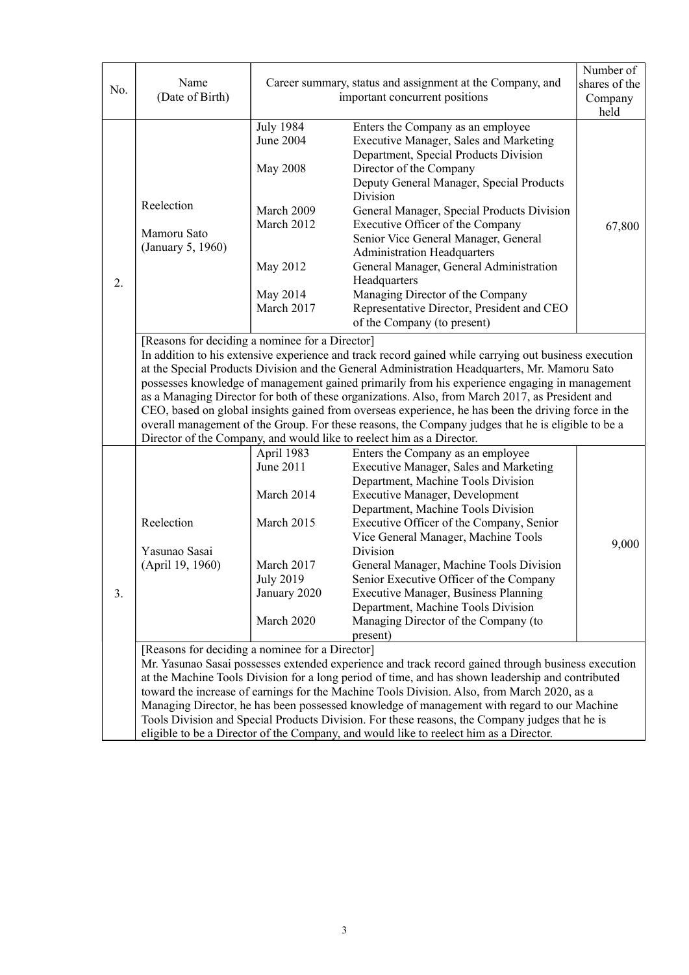| No. | Name<br>(Date of Birth)                                                                                                                                                                                                                                                                                                                                                                                                                                                                                                                                                                                                                                                                                                                             | Career summary, status and assignment at the Company, and<br>important concurrent positions                         | Number of<br>shares of the<br>Company<br>held                                                                                                                                                                                                                                                                                                                                                                                                                                                                                                       |        |  |  |
|-----|-----------------------------------------------------------------------------------------------------------------------------------------------------------------------------------------------------------------------------------------------------------------------------------------------------------------------------------------------------------------------------------------------------------------------------------------------------------------------------------------------------------------------------------------------------------------------------------------------------------------------------------------------------------------------------------------------------------------------------------------------------|---------------------------------------------------------------------------------------------------------------------|-----------------------------------------------------------------------------------------------------------------------------------------------------------------------------------------------------------------------------------------------------------------------------------------------------------------------------------------------------------------------------------------------------------------------------------------------------------------------------------------------------------------------------------------------------|--------|--|--|
| 2.  | Reelection<br>Mamoru Sato<br>(January 5, 1960)                                                                                                                                                                                                                                                                                                                                                                                                                                                                                                                                                                                                                                                                                                      | <b>July 1984</b><br>June 2004<br><b>May 2008</b><br>March 2009<br>March 2012<br>May 2012<br>May 2014<br>March 2017  | Enters the Company as an employee<br>Executive Manager, Sales and Marketing<br>Department, Special Products Division<br>Director of the Company<br>Deputy General Manager, Special Products<br>Division<br>General Manager, Special Products Division<br>Executive Officer of the Company<br>Senior Vice General Manager, General<br><b>Administration Headquarters</b><br>General Manager, General Administration<br>Headquarters<br>Managing Director of the Company<br>Representative Director, President and CEO<br>of the Company (to present) | 67,800 |  |  |
|     | [Reasons for deciding a nominee for a Director]<br>In addition to his extensive experience and track record gained while carrying out business execution<br>at the Special Products Division and the General Administration Headquarters, Mr. Mamoru Sato<br>possesses knowledge of management gained primarily from his experience engaging in management<br>as a Managing Director for both of these organizations. Also, from March 2017, as President and<br>CEO, based on global insights gained from overseas experience, he has been the driving force in the<br>overall management of the Group. For these reasons, the Company judges that he is eligible to be a<br>Director of the Company, and would like to reelect him as a Director. |                                                                                                                     |                                                                                                                                                                                                                                                                                                                                                                                                                                                                                                                                                     |        |  |  |
| 3.  | Reelection<br>Yasunao Sasai<br>(April 19, 1960)                                                                                                                                                                                                                                                                                                                                                                                                                                                                                                                                                                                                                                                                                                     | April 1983<br>June 2011<br>March 2014<br>March 2015<br>March 2017<br><b>July 2019</b><br>January 2020<br>March 2020 | Enters the Company as an employee<br>Executive Manager, Sales and Marketing<br>Department, Machine Tools Division<br><b>Executive Manager, Development</b><br>Department, Machine Tools Division<br>Executive Officer of the Company, Senior<br>Vice General Manager, Machine Tools<br>Division<br>General Manager, Machine Tools Division<br>Senior Executive Officer of the Company<br>Executive Manager, Business Planning<br>Department, Machine Tools Division<br>Managing Director of the Company (to<br>present)                             | 9,000  |  |  |
|     | [Reasons for deciding a nominee for a Director]<br>Mr. Yasunao Sasai possesses extended experience and track record gained through business execution<br>at the Machine Tools Division for a long period of time, and has shown leadership and contributed<br>toward the increase of earnings for the Machine Tools Division. Also, from March 2020, as a<br>Managing Director, he has been possessed knowledge of management with regard to our Machine<br>Tools Division and Special Products Division. For these reasons, the Company judges that he is<br>eligible to be a Director of the Company, and would like to reelect him as a Director.                                                                                                |                                                                                                                     |                                                                                                                                                                                                                                                                                                                                                                                                                                                                                                                                                     |        |  |  |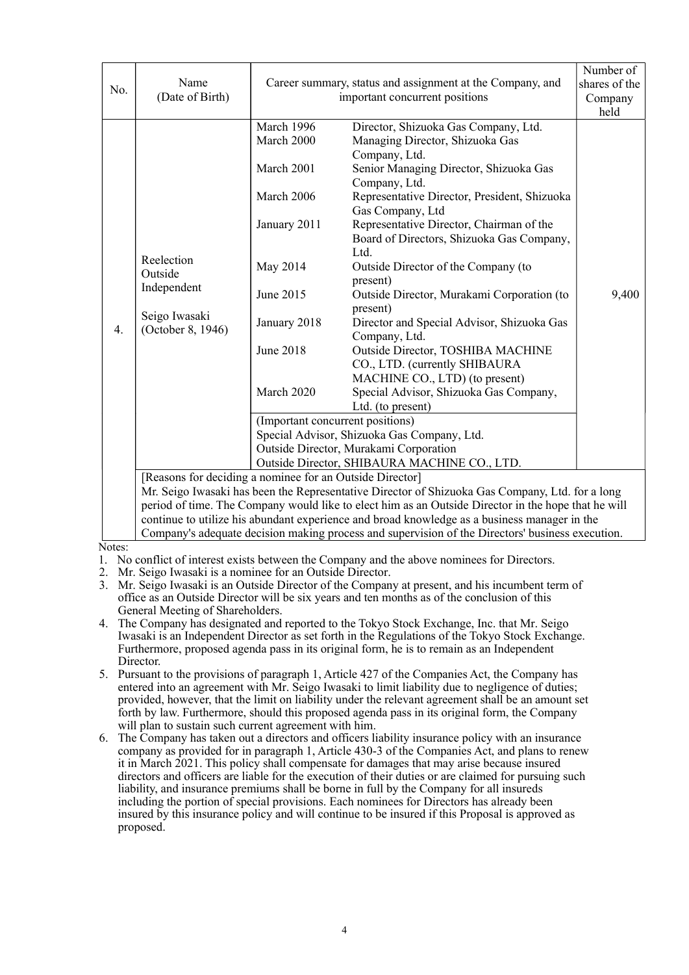| No.    | Name<br>(Date of Birth)                                                                                                                                    |                                                                                                                                                                              | Career summary, status and assignment at the Company, and<br>important concurrent positions                                                                                                                                                                                                                                                                                                                                                                                                                                                                                                                                                                                                                                                                                                                                                                 | Number of<br>shares of the<br>Company<br>held |
|--------|------------------------------------------------------------------------------------------------------------------------------------------------------------|------------------------------------------------------------------------------------------------------------------------------------------------------------------------------|-------------------------------------------------------------------------------------------------------------------------------------------------------------------------------------------------------------------------------------------------------------------------------------------------------------------------------------------------------------------------------------------------------------------------------------------------------------------------------------------------------------------------------------------------------------------------------------------------------------------------------------------------------------------------------------------------------------------------------------------------------------------------------------------------------------------------------------------------------------|-----------------------------------------------|
| 4.     | Reelection<br>Outside<br>Independent<br>Seigo Iwasaki<br>(October 8, 1946)                                                                                 | March 1996<br>March 2000<br>March 2001<br>March 2006<br>January 2011<br>May 2014<br>June 2015<br>January 2018<br>June 2018<br>March 2020<br>(Important concurrent positions) | Director, Shizuoka Gas Company, Ltd.<br>Managing Director, Shizuoka Gas<br>Company, Ltd.<br>Senior Managing Director, Shizuoka Gas<br>Company, Ltd.<br>Representative Director, President, Shizuoka<br>Gas Company, Ltd<br>Representative Director, Chairman of the<br>Board of Directors, Shizuoka Gas Company,<br>Ltd.<br>Outside Director of the Company (to<br>present)<br>Outside Director, Murakami Corporation (to<br>present)<br>Director and Special Advisor, Shizuoka Gas<br>Company, Ltd.<br>Outside Director, TOSHIBA MACHINE<br>CO., LTD. (currently SHIBAURA<br>MACHINE CO., LTD) (to present)<br>Special Advisor, Shizuoka Gas Company,<br>Ltd. (to present)<br>Special Advisor, Shizuoka Gas Company, Ltd.<br>Outside Director, Murakami Corporation                                                                                        | 9,400                                         |
| Notes: | [Reasons for deciding a nominee for an Outside Director]<br>2. Mr. Seigo Iwasaki is a nominee for an Outside Director.<br>General Meeting of Shareholders. |                                                                                                                                                                              | Outside Director, SHIBAURA MACHINE CO., LTD.<br>Mr. Seigo Iwasaki has been the Representative Director of Shizuoka Gas Company, Ltd. for a long<br>period of time. The Company would like to elect him as an Outside Director in the hope that he will<br>continue to utilize his abundant experience and broad knowledge as a business manager in the<br>Company's adequate decision making process and supervision of the Directors' business execution.<br>1. No conflict of interest exists between the Company and the above nominees for Directors.<br>3. Mr. Seigo Iwasaki is an Outside Director of the Company at present, and his incumbent term of<br>office as an Outside Director will be six years and ten months as of the conclusion of this<br>4. The Company has designated and reported to the Tokyo Stock Exchange, Inc. that Mr. Seigo |                                               |

- 
- 2. Mr. Seigo Iwasaki is a nominee for an Outside Director.
- 3. Mr. Seigo Iwasaki is an Outside Director of the Company at present, and his incumbent term of office as an Outside Director will be six years and ten months as of the conclusion of this General Meeting of Shareholders.
- 4. The Company has designated and reported to the Tokyo Stock Exchange, Inc. that Mr. Seigo Iwasaki is an Independent Director as set forth in the Regulations of the Tokyo Stock Exchange. Furthermore, proposed agenda pass in its original form, he is to remain as an Independent Director.
- 5. Pursuant to the provisions of paragraph 1, Article 427 of the Companies Act, the Company has entered into an agreement with Mr. Seigo Iwasaki to limit liability due to negligence of duties; provided, however, that the limit on liability under the relevant agreement shall be an amount set forth by law. Furthermore, should this proposed agenda pass in its original form, the Company will plan to sustain such current agreement with him.
- 6. The Company has taken out a directors and officers liability insurance policy with an insurance company as provided for in paragraph 1, Article 430-3 of the Companies Act, and plans to renew it in March 2021. This policy shall compensate for damages that may arise because insured directors and officers are liable for the execution of their duties or are claimed for pursuing such liability, and insurance premiums shall be borne in full by the Company for all insureds including the portion of special provisions. Each nominees for Directors has already been insured by this insurance policy and will continue to be insured if this Proposal is approved as proposed.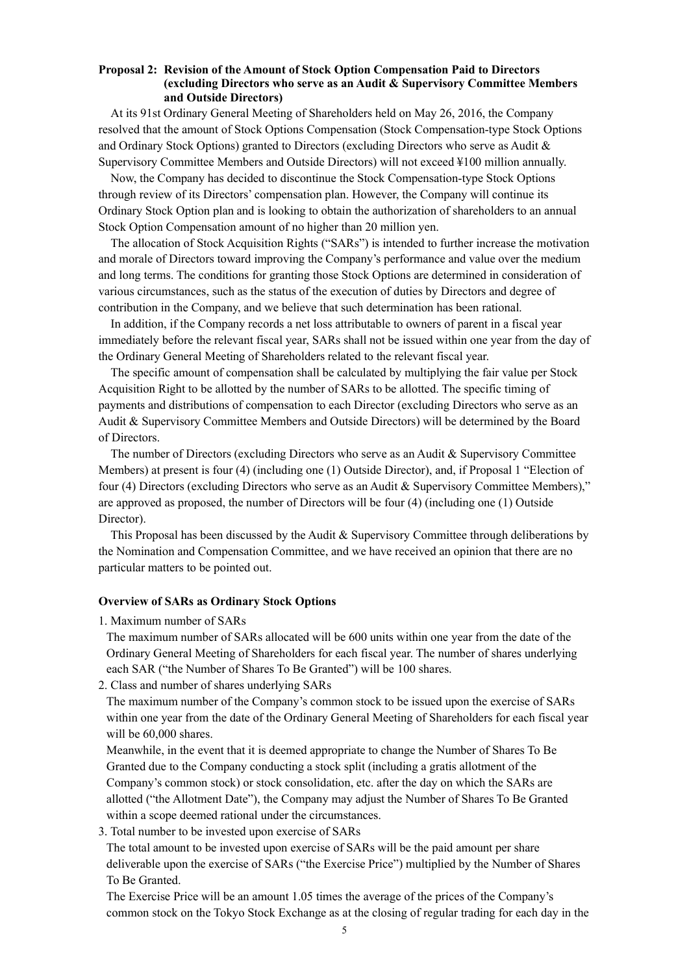### Proposal 2: Revision of the Amount of Stock Option Compensation Paid to Directors (excluding Directors who serve as an Audit & Supervisory Committee Members and Outside Directors)

At its 91st Ordinary General Meeting of Shareholders held on May 26, 2016, the Company resolved that the amount of Stock Options Compensation (Stock Compensation-type Stock Options and Ordinary Stock Options) granted to Directors (excluding Directors who serve as Audit & Supervisory Committee Members and Outside Directors) will not exceed ¥100 million annually.

Now, the Company has decided to discontinue the Stock Compensation-type Stock Options through review of its Directors' compensation plan. However, the Company will continue its Ordinary Stock Option plan and is looking to obtain the authorization of shareholders to an annual Stock Option Compensation amount of no higher than 20 million yen.

The allocation of Stock Acquisition Rights ("SARs") is intended to further increase the motivation and morale of Directors toward improving the Company's performance and value over the medium and long terms. The conditions for granting those Stock Options are determined in consideration of various circumstances, such as the status of the execution of duties by Directors and degree of contribution in the Company, and we believe that such determination has been rational.

In addition, if the Company records a net loss attributable to owners of parent in a fiscal year immediately before the relevant fiscal year, SARs shall not be issued within one year from the day of the Ordinary General Meeting of Shareholders related to the relevant fiscal year.

The specific amount of compensation shall be calculated by multiplying the fair value per Stock Acquisition Right to be allotted by the number of SARs to be allotted. The specific timing of payments and distributions of compensation to each Director (excluding Directors who serve as an Audit & Supervisory Committee Members and Outside Directors) will be determined by the Board of Directors.

The number of Directors (excluding Directors who serve as an Audit & Supervisory Committee Members) at present is four (4) (including one (1) Outside Director), and, if Proposal 1 "Election of four (4) Directors (excluding Directors who serve as an Audit & Supervisory Committee Members)," are approved as proposed, the number of Directors will be four (4) (including one (1) Outside Director).

This Proposal has been discussed by the Audit & Supervisory Committee through deliberations by the Nomination and Compensation Committee, and we have received an opinion that there are no particular matters to be pointed out.

#### Overview of SARs as Ordinary Stock Options

#### 1. Maximum number of SARs

The maximum number of SARs allocated will be 600 units within one year from the date of the Ordinary General Meeting of Shareholders for each fiscal year. The number of shares underlying each SAR ("the Number of Shares To Be Granted") will be 100 shares.

2. Class and number of shares underlying SARs

The maximum number of the Company's common stock to be issued upon the exercise of SARs within one year from the date of the Ordinary General Meeting of Shareholders for each fiscal year will be 60,000 shares.

Meanwhile, in the event that it is deemed appropriate to change the Number of Shares To Be Granted due to the Company conducting a stock split (including a gratis allotment of the Company's common stock) or stock consolidation, etc. after the day on which the SARs are allotted ("the Allotment Date"), the Company may adjust the Number of Shares To Be Granted within a scope deemed rational under the circumstances.

3. Total number to be invested upon exercise of SARs

The total amount to be invested upon exercise of SARs will be the paid amount per share deliverable upon the exercise of SARs ("the Exercise Price") multiplied by the Number of Shares To Be Granted.

The Exercise Price will be an amount 1.05 times the average of the prices of the Company's common stock on the Tokyo Stock Exchange as at the closing of regular trading for each day in the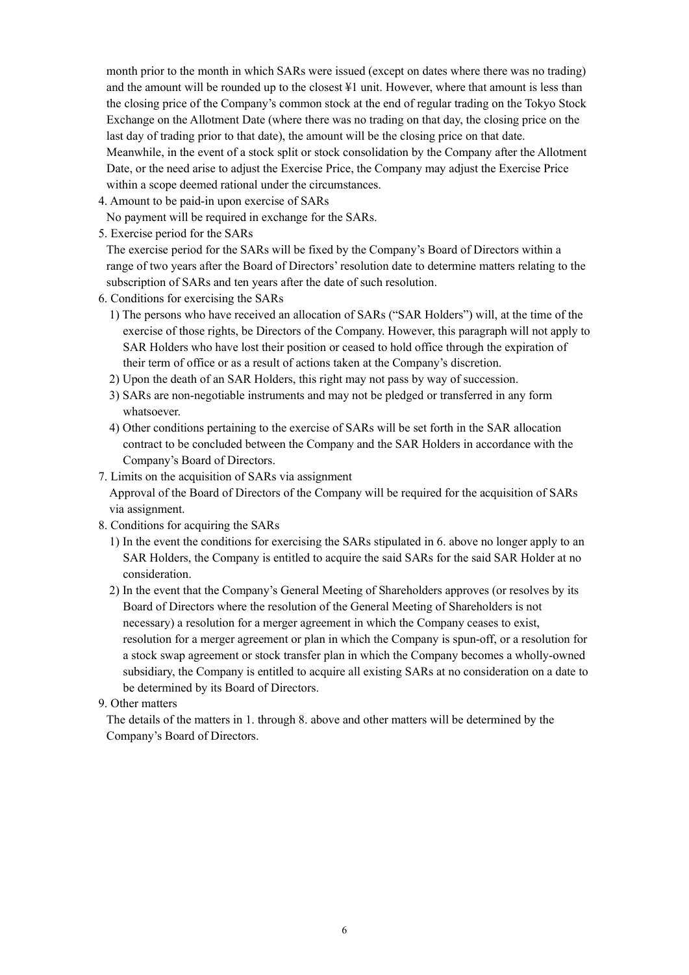month prior to the month in which SARs were issued (except on dates where there was no trading) and the amount will be rounded up to the closest ¥1 unit. However, where that amount is less than the closing price of the Company's common stock at the end of regular trading on the Tokyo Stock Exchange on the Allotment Date (where there was no trading on that day, the closing price on the last day of trading prior to that date), the amount will be the closing price on that date.

Meanwhile, in the event of a stock split or stock consolidation by the Company after the Allotment Date, or the need arise to adjust the Exercise Price, the Company may adjust the Exercise Price within a scope deemed rational under the circumstances.

4. Amount to be paid-in upon exercise of SARs

No payment will be required in exchange for the SARs.

5. Exercise period for the SARs

The exercise period for the SARs will be fixed by the Company's Board of Directors within a range of two years after the Board of Directors' resolution date to determine matters relating to the subscription of SARs and ten years after the date of such resolution.

- 6. Conditions for exercising the SARs
	- 1) The persons who have received an allocation of SARs ("SAR Holders") will, at the time of the exercise of those rights, be Directors of the Company. However, this paragraph will not apply to SAR Holders who have lost their position or ceased to hold office through the expiration of their term of office or as a result of actions taken at the Company's discretion.
	- 2) Upon the death of an SAR Holders, this right may not pass by way of succession.
	- 3) SARs are non-negotiable instruments and may not be pledged or transferred in any form whatsoever.
	- 4) Other conditions pertaining to the exercise of SARs will be set forth in the SAR allocation contract to be concluded between the Company and the SAR Holders in accordance with the Company's Board of Directors.
- 7. Limits on the acquisition of SARs via assignment

Approval of the Board of Directors of the Company will be required for the acquisition of SARs via assignment.

- 8. Conditions for acquiring the SARs
	- 1) In the event the conditions for exercising the SARs stipulated in 6. above no longer apply to an SAR Holders, the Company is entitled to acquire the said SARs for the said SAR Holder at no consideration.
	- 2) In the event that the Company's General Meeting of Shareholders approves (or resolves by its Board of Directors where the resolution of the General Meeting of Shareholders is not necessary) a resolution for a merger agreement in which the Company ceases to exist, resolution for a merger agreement or plan in which the Company is spun-off, or a resolution for a stock swap agreement or stock transfer plan in which the Company becomes a wholly-owned subsidiary, the Company is entitled to acquire all existing SARs at no consideration on a date to be determined by its Board of Directors.
- 9. Other matters

The details of the matters in 1. through 8. above and other matters will be determined by the Company's Board of Directors.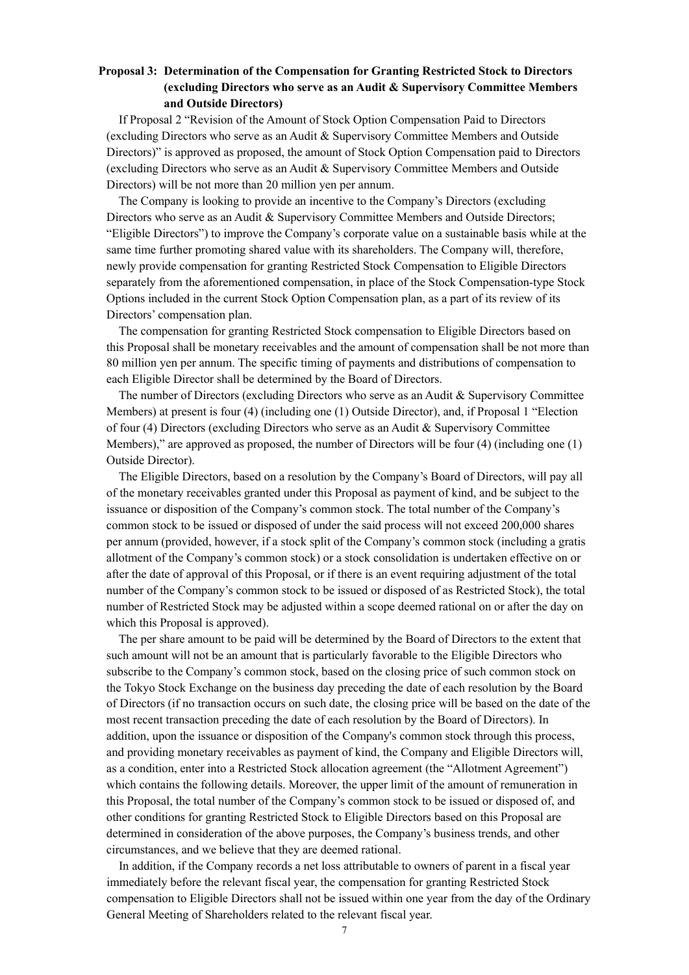# Proposal 3: Determination of the Compensation for Granting Restricted Stock to Directors (excluding Directors who serve as an Audit & Supervisory Committee Members and Outside Directors)

If Proposal 2 "Revision of the Amount of Stock Option Compensation Paid to Directors (excluding Directors who serve as an Audit & Supervisory Committee Members and Outside Directors)" is approved as proposed, the amount of Stock Option Compensation paid to Directors (excluding Directors who serve as an Audit & Supervisory Committee Members and Outside Directors) will be not more than 20 million yen per annum.

The Company is looking to provide an incentive to the Company's Directors (excluding Directors who serve as an Audit & Supervisory Committee Members and Outside Directors;<br>"Eligible Directors") to improve the Company's corporate value on a sustainable basis while at the same time further promoting shared value with its shareholders. The Company will, therefore, newly provide compensation for granting Restricted Stock Compensation to Eligible Directors separately from the aforementioned compensation, in place of the Stock Compensation-type Stock Options included in the current Stock Option Compensation plan, as a part of its review of its Directors' compensation plan.

The compensation for granting Restricted Stock compensation to Eligible Directors based on this Proposal shall be monetary receivables and the amount of compensation shall be not more than 80 million yen per annum. The specific timing of payments and distributions of compensation to each Eligible Director shall be determined by the Board of Directors.

The number of Directors (excluding Directors who serve as an Audit & Supervisory Committee Members) at present is four (4) (including one (1) Outside Director), and, if Proposal 1 "Election of four (4) Directors (excluding Directors who serve as an Audit & Supervisory Committee Members)," are approved as proposed, the number of Directors will be four (4) (including one (1) Outside Director).

The Eligible Directors, based on a resolution by the Company's Board of Directors, will pay all of the monetary receivables granted under this Proposal as payment of kind, and be subject to the issuance or disposition of the Company's common stock. The total number of the Company's common stock to be issued or disposed of under the said process will not exceed 200,000 shares per annum (provided, however, if a stock split of the Company's common stock (including a gratis allotment of the Company's common stock) or a stock consolidation is undertaken effective on or after the date of approval of this Proposal, or if there is an event requiring adjustment of the total number of the Company's common stock to be issued or disposed of as Restricted Stock), the total number of Restricted Stock may be adjusted within a scope deemed rational on or after the day on which this Proposal is approved).

The per share amount to be paid will be determined by the Board of Directors to the extent that such amount will not be an amount that is particularly favorable to the Eligible Directors who subscribe to the Company's common stock, based on the closing price of such common stock on the Tokyo Stock Exchange on the business day preceding the date of each resolution by the Board of Directors (if no transaction occurs on such date, the closing price will be based on the date of the most recent transaction preceding the date of each resolution by the Board of Directors). In addition, upon the issuance or disposition of the Company's common stock through this process, and providing monetary receivables as payment of kind, the Company and Eligible Directors will, as a condition, enter into a Restricted Stock allocation agreement (the "Allotment Agreement") which contains the following details. Moreover, the upper limit of the amount of remuneration in this Proposal, the total number of the Company's common stock to be issued or disposed of, and other conditions for granting Restricted Stock to Eligible Directors based on this Proposal are determined in consideration of the above purposes, the Company's business trends, and other circumstances, and we believe that they are deemed rational.

In addition, if the Company records a net loss attributable to owners of parent in a fiscal year immediately before the relevant fiscal year, the compensation for granting Restricted Stock compensation to Eligible Directors shall not be issued within one year from the day of the Ordinary General Meeting of Shareholders related to the relevant fiscal year.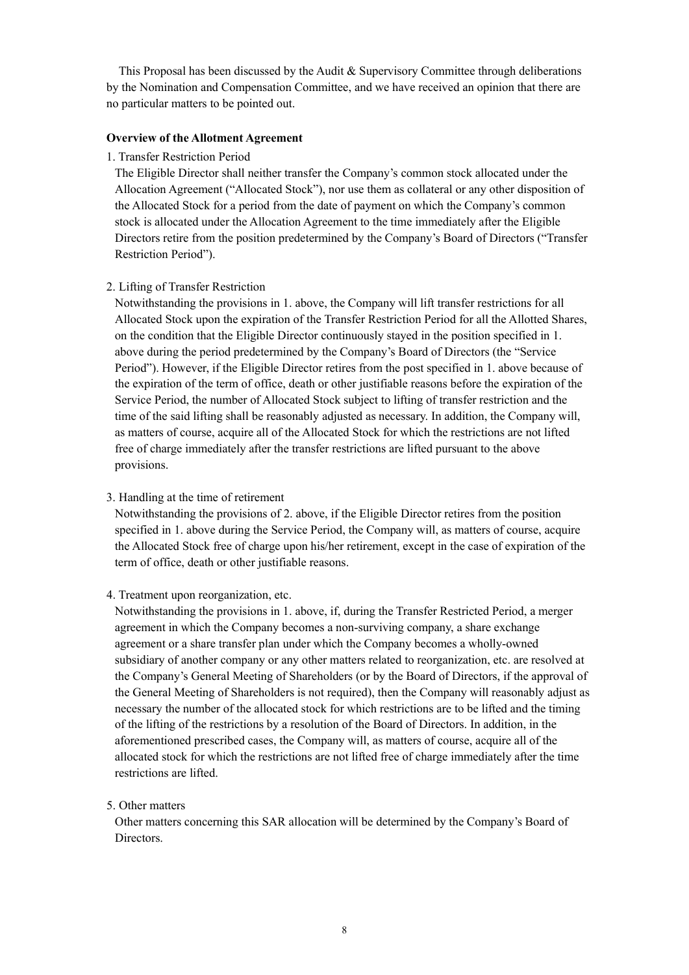This Proposal has been discussed by the Audit & Supervisory Committee through deliberations by the Nomination and Compensation Committee, and we have received an opinion that there are no particular matters to be pointed out.

#### Overview of the Allotment Agreement

#### 1. Transfer Restriction Period

The Eligible Director shall neither transfer the Company's common stock allocated under the Allocation Agreement ("Allocated Stock"), nor use them as collateral or any other disposition of the Allocated Stock for a period from the date of payment on which the Company's common stock is allocated under the Allocation Agreement to the time immediately after the Eligible Directors retire from the position predetermined by the Company's Board of Directors ("Transfer Restriction Period").

## 2. Lifting of Transfer Restriction

Notwithstanding the provisions in 1. above, the Company will lift transfer restrictions for all Allocated Stock upon the expiration of the Transfer Restriction Period for all the Allotted Shares, on the condition that the Eligible Director continuously stayed in the position specified in 1. above during the period predetermined by the Company's Board of Directors (the "Service Period"). However, if the Eligible Director retires from the post specified in 1. above because of the expiration of the term of office, death or other justifiable reasons before the expiration of the Service Period, the number of Allocated Stock subject to lifting of transfer restriction and the time of the said lifting shall be reasonably adjusted as necessary. In addition, the Company will, as matters of course, acquire all of the Allocated Stock for which the restrictions are not lifted free of charge immediately after the transfer restrictions are lifted pursuant to the above provisions.

#### 3. Handling at the time of retirement

Notwithstanding the provisions of 2. above, if the Eligible Director retires from the position specified in 1. above during the Service Period, the Company will, as matters of course, acquire the Allocated Stock free of charge upon his/her retirement, except in the case of expiration of the term of office, death or other justifiable reasons.

#### 4. Treatment upon reorganization, etc.

Notwithstanding the provisions in 1. above, if, during the Transfer Restricted Period, a merger agreement in which the Company becomes a non-surviving company, a share exchange agreement or a share transfer plan under which the Company becomes a wholly-owned subsidiary of another company or any other matters related to reorganization, etc. are resolved at the Company's General Meeting of Shareholders (or by the Board of Directors, if the approval of the General Meeting of Shareholders is not required), then the Company will reasonably adjust as necessary the number of the allocated stock for which restrictions are to be lifted and the timing of the lifting of the restrictions by a resolution of the Board of Directors. In addition, in the aforementioned prescribed cases, the Company will, as matters of course, acquire all of the allocated stock for which the restrictions are not lifted free of charge immediately after the time restrictions are lifted.

#### 5. Other matters

Other matters concerning this SAR allocation will be determined by the Company's Board of Directors.